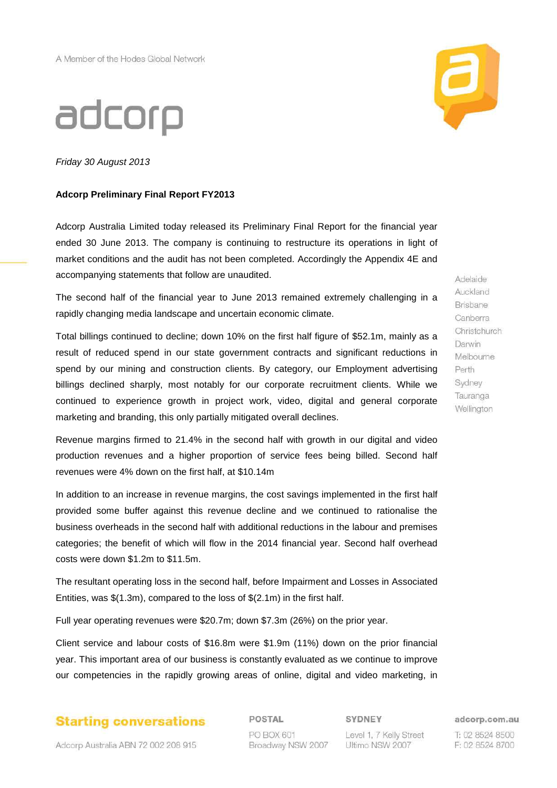# adcorp

Friday 30 August 2013

### **Adcorp Preliminary Final Report FY2013**

Adcorp Australia Limited today released its Preliminary Final Report for the financial year ended 30 June 2013. The company is continuing to restructure its operations in light of market conditions and the audit has not been completed. Accordingly the Appendix 4E and accompanying statements that follow are unaudited.

The second half of the financial year to June 2013 remained extremely challenging in a rapidly changing media landscape and uncertain economic climate.

Total billings continued to decline; down 10% on the first half figure of \$52.1m, mainly as a result of reduced spend in our state government contracts and significant reductions in spend by our mining and construction clients. By category, our Employment advertising billings declined sharply, most notably for our corporate recruitment clients. While we continued to experience growth in project work, video, digital and general corporate marketing and branding, this only partially mitigated overall declines.

Revenue margins firmed to 21.4% in the second half with growth in our digital and video production revenues and a higher proportion of service fees being billed. Second half revenues were 4% down on the first half, at \$10.14m

In addition to an increase in revenue margins, the cost savings implemented in the first half provided some buffer against this revenue decline and we continued to rationalise the business overheads in the second half with additional reductions in the labour and premises categories; the benefit of which will flow in the 2014 financial year. Second half overhead costs were down \$1.2m to \$11.5m.

The resultant operating loss in the second half, before Impairment and Losses in Associated Entities, was \$(1.3m), compared to the loss of \$(2.1m) in the first half.

Full year operating revenues were \$20.7m; down \$7.3m (26%) on the prior year.

Client service and labour costs of \$16.8m were \$1.9m (11%) down on the prior financial year. This important area of our business is constantly evaluated as we continue to improve our competencies in the rapidly growing areas of online, digital and video marketing, in



POSTAL PO BOX 601 Broadway NSW 2007 SYDNEY

Level 1, 7 Kelly Street Ultimo NSW 2007

adcorp.com.au

T: 02 8524 8500 F: 02 8524 8700



Adelaide Auckland Brisbane Canberra Christchurch Darwin Melbourne Perth Sydney Tauranga Wellington

Adcorp Australia ABN 72 002 208 915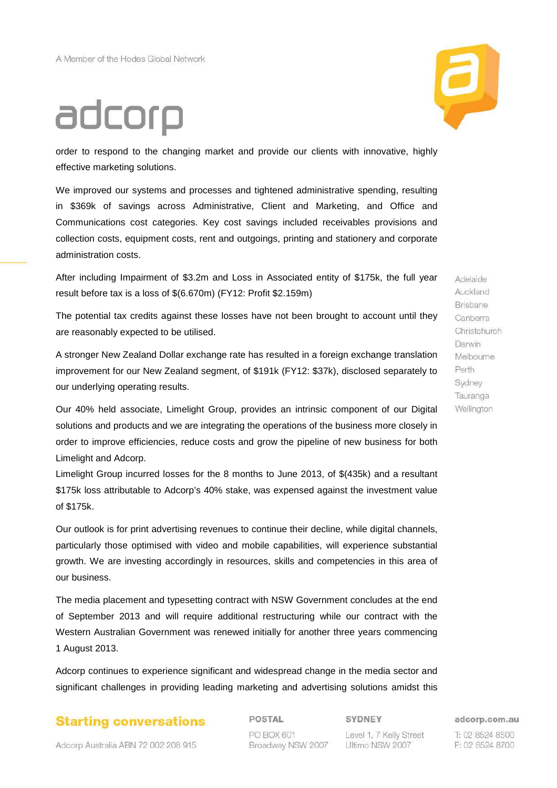# adcorp



order to respond to the changing market and provide our clients with innovative, highly effective marketing solutions.

We improved our systems and processes and tightened administrative spending, resulting in \$369k of savings across Administrative, Client and Marketing, and Office and Communications cost categories. Key cost savings included receivables provisions and collection costs, equipment costs, rent and outgoings, printing and stationery and corporate administration costs.

After including Impairment of \$3.2m and Loss in Associated entity of \$175k, the full year result before tax is a loss of \$(6.670m) (FY12: Profit \$2.159m)

The potential tax credits against these losses have not been brought to account until they are reasonably expected to be utilised.

A stronger New Zealand Dollar exchange rate has resulted in a foreign exchange translation improvement for our New Zealand segment, of \$191k (FY12: \$37k), disclosed separately to our underlying operating results.

Our 40% held associate, Limelight Group, provides an intrinsic component of our Digital solutions and products and we are integrating the operations of the business more closely in order to improve efficiencies, reduce costs and grow the pipeline of new business for both Limelight and Adcorp.

Limelight Group incurred losses for the 8 months to June 2013, of \$(435k) and a resultant \$175k loss attributable to Adcorp's 40% stake, was expensed against the investment value of \$175k.

Our outlook is for print advertising revenues to continue their decline, while digital channels, particularly those optimised with video and mobile capabilities, will experience substantial growth. We are investing accordingly in resources, skills and competencies in this area of our business.

The media placement and typesetting contract with NSW Government concludes at the end of September 2013 and will require additional restructuring while our contract with the Western Australian Government was renewed initially for another three years commencing 1 August 2013.

Adcorp continues to experience significant and widespread change in the media sector and significant challenges in providing leading marketing and advertising solutions amidst this

# **Starting conversations**

POSTAL PO BOX 601

Broadway NSW 2007

Level 1, 7 Kelly Street Ultimo NSW 2007

Adelaide Auckland Brisbane Canberra Christchurch Darwin Melbourne Perth Sydney Tauranga Wellington

adcorp.com.au

T: 02 8524 8500 F: 02 8524 8700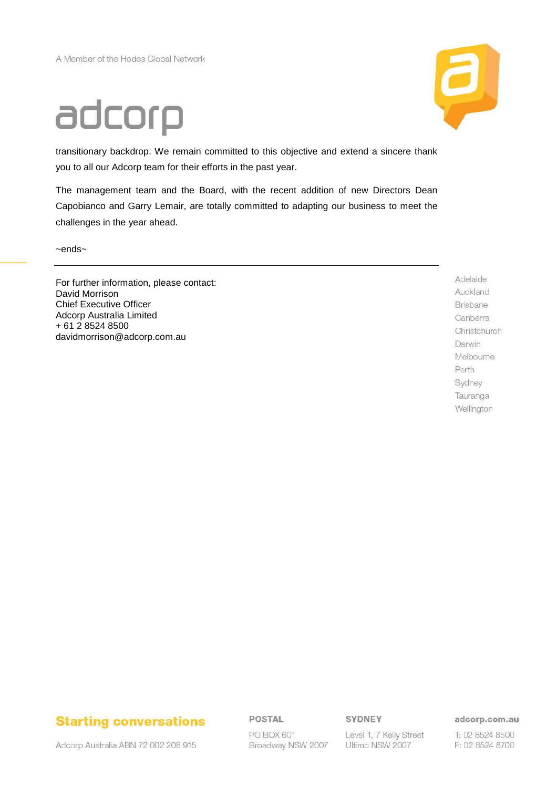# adcorp



transitionary backdrop. We remain committed to this objective and extend a sincere thank you to all our Adcorp team for their efforts in the past year.

The management team and the Board, with the recent addition of new Directors Dean Capobianco and Garry Lemair, are totally committed to adapting our business to meet the challenges in the year ahead.

~ends~

For further information, please contact: David Morrison Chief Executive Officer Adcorp Australia Limited + 61 2 8524 8500 davidmorrison@adcorp.com.au

Adelaide Auckland Brisbane Canberra Christchurch Darwin Melbourne Perth Sydney Tauranga Wellington



Adcorp Australia ABN 72 002 208 915

POSTAL

PO BOX 601 Broadway NSW 2007 SYDNEY

Level 1, 7 Kelly Street Ultimo NSW 2007

adcorp.com.au

T: 02 8524 8500 F: 02 8524 8700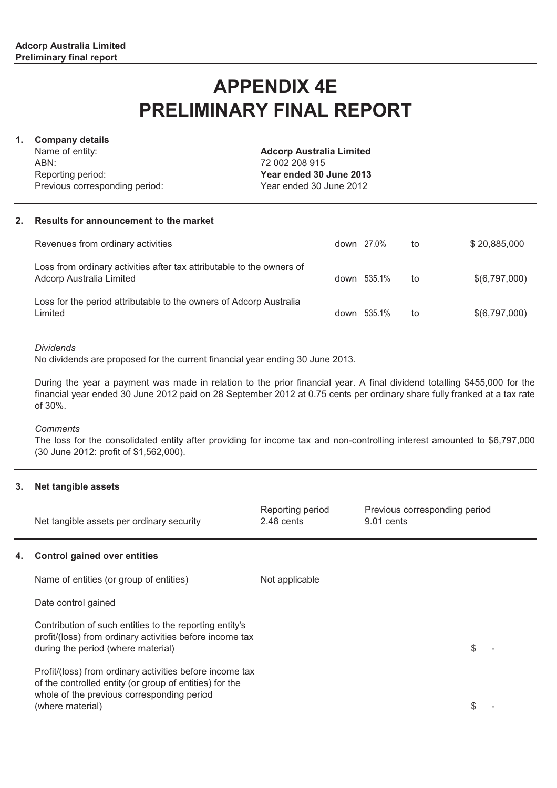# **APPENDIX 4E PRELIMINARY FINAL REPORT**

## **1. Company details**

Name of entity: ABN: Reporting period: Previous corresponding period: **Adcorp Australia Limited** 72 002 208 915 **Year ended 30 June 2013** Year ended 30 June 2012

### **2. Results for announcement to the market**

| Revenues from ordinary activities                                                                 | down 27.0%  | to | \$20,885,000  |
|---------------------------------------------------------------------------------------------------|-------------|----|---------------|
| Loss from ordinary activities after tax attributable to the owners of<br>Adcorp Australia Limited | down 535.1% | to | \$(6,797,000) |
| Loss for the period attributable to the owners of Adcorp Australia<br>Limited                     | down 535.1% | to | \$(6,797,000) |

### *Dividends*

No dividends are proposed for the current financial year ending 30 June 2013.

During the year a payment was made in relation to the prior financial year. A final dividend totalling \$455,000 for the financial year ended 30 June 2012 paid on 28 September 2012 at 0.75 cents per ordinary share fully franked at a tax rate of 30%.

### *Comments*

The loss for the consolidated entity after providing for income tax and non-controlling interest amounted to \$6,797,000 (30 June 2012: profit of \$1,562,000).

### **3. Net tangible assets**

|    | Net tangible assets per ordinary security                                                                                                                                             | Reporting period<br>2.48 cents | Previous corresponding period<br>9.01 cents |     |
|----|---------------------------------------------------------------------------------------------------------------------------------------------------------------------------------------|--------------------------------|---------------------------------------------|-----|
| 4. | <b>Control gained over entities</b>                                                                                                                                                   |                                |                                             |     |
|    | Name of entities (or group of entities)                                                                                                                                               | Not applicable                 |                                             |     |
|    | Date control gained                                                                                                                                                                   |                                |                                             |     |
|    | Contribution of such entities to the reporting entity's<br>profit/(loss) from ordinary activities before income tax<br>during the period (where material)                             |                                |                                             | \$. |
|    | Profit/(loss) from ordinary activities before income tax<br>of the controlled entity (or group of entities) for the<br>whole of the previous corresponding period<br>(where material) |                                |                                             | \$. |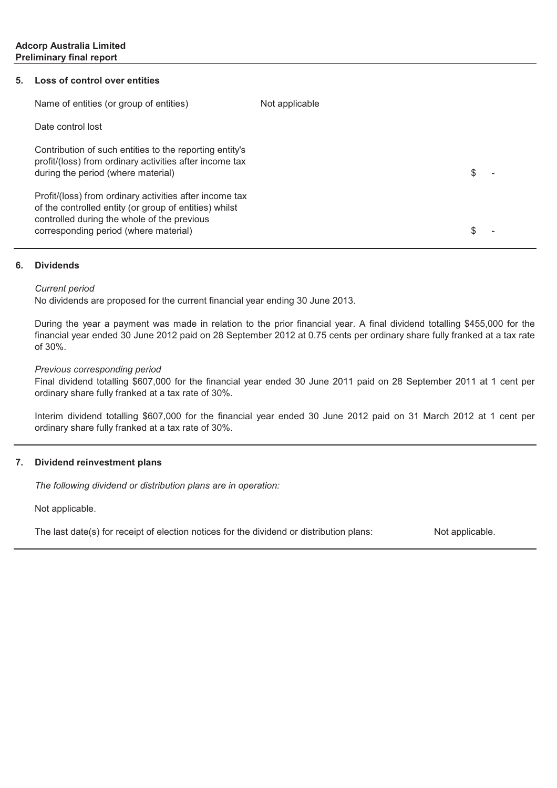### **5. Loss of control over entities**

| Name of entities (or group of entities)                                                                                                                                                                   | Not applicable |   |  |
|-----------------------------------------------------------------------------------------------------------------------------------------------------------------------------------------------------------|----------------|---|--|
| Date control lost                                                                                                                                                                                         |                |   |  |
| Contribution of such entities to the reporting entity's<br>profit/(loss) from ordinary activities after income tax<br>during the period (where material)                                                  |                | S |  |
| Profit/(loss) from ordinary activities after income tax<br>of the controlled entity (or group of entities) whilst<br>controlled during the whole of the previous<br>corresponding period (where material) |                |   |  |

### **6. Dividends**

### *Current period*

No dividends are proposed for the current financial year ending 30 June 2013.

During the year a payment was made in relation to the prior financial year. A final dividend totalling \$455,000 for the financial year ended 30 June 2012 paid on 28 September 2012 at 0.75 cents per ordinary share fully franked at a tax rate of 30%.

### *Previous corresponding period*

Final dividend totalling \$607,000 for the financial year ended 30 June 2011 paid on 28 September 2011 at 1 cent per ordinary share fully franked at a tax rate of 30%.

Interim dividend totalling \$607,000 for the financial year ended 30 June 2012 paid on 31 March 2012 at 1 cent per ordinary share fully franked at a tax rate of 30%.

### **7. Dividend reinvestment plans**

*The following dividend or distribution plans are in operation:*

Not applicable.

The last date(s) for receipt of election notices for the dividend or distribution plans:

Not applicable.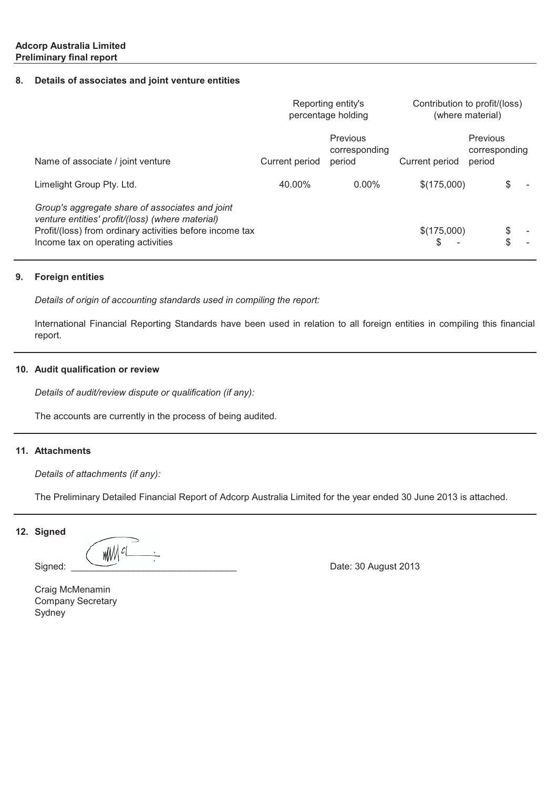### **8. Details of associates and joint venture entities**

|                                                                                                                                                                                                       | Reporting entity's<br>percentage holding |                                     | Contribution to profit/(loss)<br>(where material) |                                     |  |
|-------------------------------------------------------------------------------------------------------------------------------------------------------------------------------------------------------|------------------------------------------|-------------------------------------|---------------------------------------------------|-------------------------------------|--|
| Name of associate / joint venture                                                                                                                                                                     | Current period                           | Previous<br>corresponding<br>period | Current period                                    | Previous<br>corresponding<br>period |  |
| Limelight Group Pty. Ltd.                                                                                                                                                                             | 40.00%                                   | $0.00\%$                            | \$(175,000)                                       | S                                   |  |
| Group's aggregate share of associates and joint<br>venture entities' profit/(loss) (where material)<br>Profit/(loss) from ordinary activities before income tax<br>Income tax on operating activities |                                          |                                     | \$(175,000)                                       | \$                                  |  |

#### **9. Foreign entities**

*Details of origin of accounting standards used in compiling the report:*

International Financial Reporting Standards have been used in relation to all foreign entities in compiling this financial report.

## **10. Audit qualification or review**

*Details of audit/review dispute or qualification (if any):*

The accounts are currently in the process of being audited.

### **11. Attachments**

*Details of attachments (if any):*

The Preliminary Detailed Financial Report of Adcorp Australia Limited for the year ended 30 June 2013 is attached.

### **12. Signed**

wM cl

Signed: \_\_\_\_\_\_\_\_\_\_\_\_\_\_\_\_\_\_\_\_\_\_\_\_\_\_\_\_\_\_\_\_ Date: 30 August 2013

Sydney Company Secretary Craig McMenamin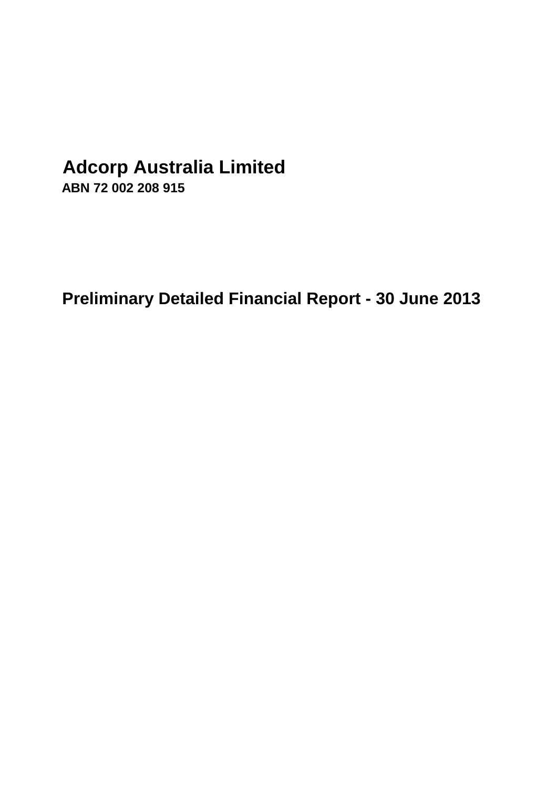# **Adcorp Australia Limited**

**ABN 72 002 208 915**

**Preliminary Detailed Financial Report - 30 June 2013**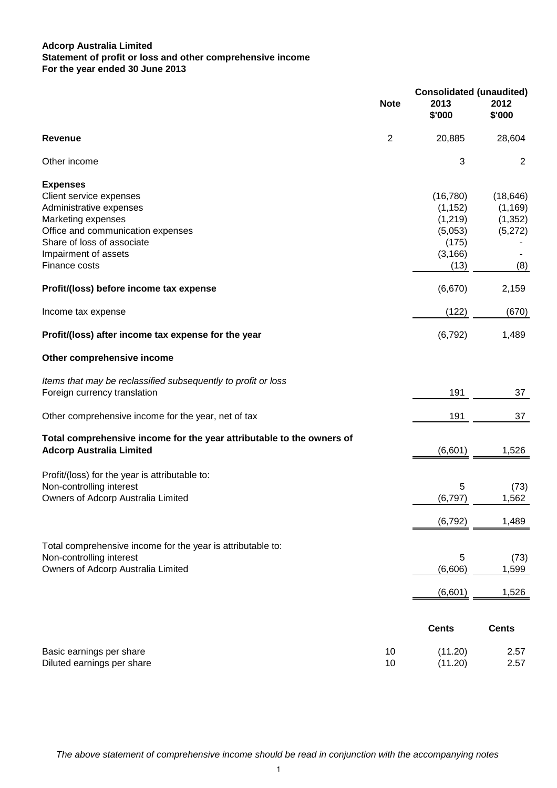## **Adcorp Australia Limited For the year ended 30 June 2013 Statement of profit or loss and other comprehensive income**

|                                                                                                                                                                                                         | <b>Note</b>    | <b>Consolidated (unaudited)</b><br>2013<br>\$'000                         | 2012<br>\$'000                                      |
|---------------------------------------------------------------------------------------------------------------------------------------------------------------------------------------------------------|----------------|---------------------------------------------------------------------------|-----------------------------------------------------|
| Revenue                                                                                                                                                                                                 | $\overline{2}$ | 20,885                                                                    | 28,604                                              |
| Other income                                                                                                                                                                                            |                | 3                                                                         | 2                                                   |
| <b>Expenses</b><br>Client service expenses<br>Administrative expenses<br>Marketing expenses<br>Office and communication expenses<br>Share of loss of associate<br>Impairment of assets<br>Finance costs |                | (16, 780)<br>(1, 152)<br>(1, 219)<br>(5,053)<br>(175)<br>(3, 166)<br>(13) | (18, 646)<br>(1, 169)<br>(1, 352)<br>(5,272)<br>(8) |
| Profit/(loss) before income tax expense                                                                                                                                                                 |                | (6,670)                                                                   | 2,159                                               |
| Income tax expense                                                                                                                                                                                      |                | (122)                                                                     | (670)                                               |
| Profit/(loss) after income tax expense for the year                                                                                                                                                     |                | (6, 792)                                                                  | 1,489                                               |
| Other comprehensive income                                                                                                                                                                              |                |                                                                           |                                                     |
| Items that may be reclassified subsequently to profit or loss<br>Foreign currency translation                                                                                                           |                | 191                                                                       | 37                                                  |
| Other comprehensive income for the year, net of tax                                                                                                                                                     |                | 191                                                                       | 37                                                  |
| Total comprehensive income for the year attributable to the owners of<br><b>Adcorp Australia Limited</b>                                                                                                |                | (6,601)                                                                   | 1,526                                               |
| Profit/(loss) for the year is attributable to:<br>Non-controlling interest<br>Owners of Adcorp Australia Limited                                                                                        |                | 5<br>(6, 797)                                                             | (73)<br>1,562                                       |
|                                                                                                                                                                                                         |                | (6, 792)                                                                  | 1,489                                               |
| Total comprehensive income for the year is attributable to:<br>Non-controlling interest<br>Owners of Adcorp Australia Limited                                                                           |                | 5<br>(6,606)                                                              | (73)<br>1,599                                       |
|                                                                                                                                                                                                         |                | (6,601)                                                                   | 1,526                                               |
|                                                                                                                                                                                                         |                | <b>Cents</b>                                                              | <b>Cents</b>                                        |
| Basic earnings per share<br>Diluted earnings per share                                                                                                                                                  | 10<br>10       | (11.20)<br>(11.20)                                                        | 2.57<br>2.57                                        |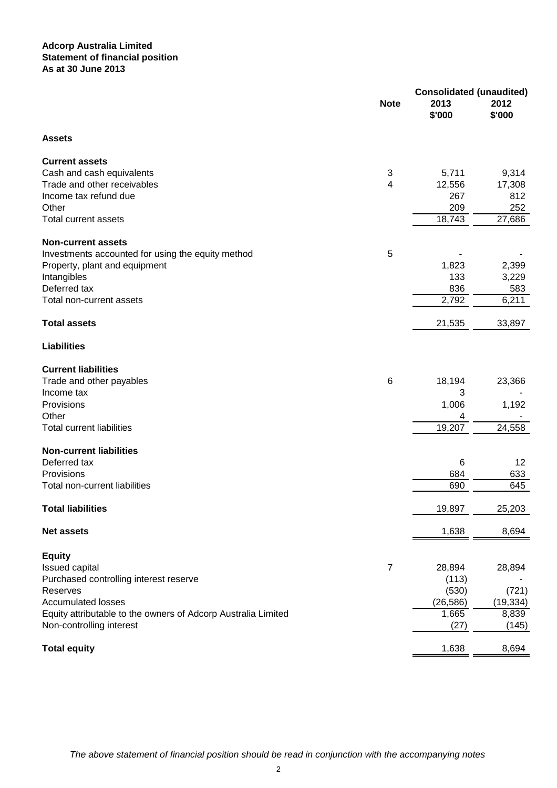### **Adcorp Australia Limited Statement of financial position As at 30 June 2013**

|                                                               | <b>Note</b>    | <b>Consolidated (unaudited)</b><br>2013<br>\$'000 | 2012<br>\$'000     |
|---------------------------------------------------------------|----------------|---------------------------------------------------|--------------------|
| <b>Assets</b>                                                 |                |                                                   |                    |
| <b>Current assets</b>                                         |                |                                                   |                    |
| Cash and cash equivalents                                     | 3              | 5,711                                             | 9,314              |
| Trade and other receivables                                   | 4              | 12,556                                            | 17,308             |
| Income tax refund due                                         |                | 267                                               | 812                |
| Other                                                         |                | 209                                               | 252                |
| <b>Total current assets</b>                                   |                | 18,743                                            | 27,686             |
| <b>Non-current assets</b>                                     |                |                                                   |                    |
| Investments accounted for using the equity method             | 5              |                                                   |                    |
| Property, plant and equipment                                 |                | 1,823                                             | 2,399              |
| Intangibles                                                   |                | 133                                               | 3,229              |
| Deferred tax                                                  |                | 836                                               | 583                |
| Total non-current assets                                      |                | 2,792                                             | 6,211              |
| <b>Total assets</b>                                           |                | 21,535                                            | 33,897             |
| <b>Liabilities</b>                                            |                |                                                   |                    |
| <b>Current liabilities</b>                                    |                |                                                   |                    |
| Trade and other payables                                      | 6              | 18,194                                            | 23,366             |
| Income tax                                                    |                | 3                                                 |                    |
| Provisions                                                    |                | 1,006                                             | 1,192              |
| Other                                                         |                | 4                                                 |                    |
| <b>Total current liabilities</b>                              |                | 19,207                                            | 24,558             |
| <b>Non-current liabilities</b>                                |                |                                                   |                    |
| Deferred tax                                                  |                | 6                                                 | 12                 |
| Provisions                                                    |                | 684                                               | 633                |
| Total non-current liabilities                                 |                | 690                                               | 645                |
| <b>Total liabilities</b>                                      |                | 19,897                                            | 25,203             |
| <b>Net assets</b>                                             |                | 1,638                                             | 8,694              |
|                                                               |                |                                                   |                    |
| <b>Equity</b>                                                 |                |                                                   |                    |
| Issued capital                                                | $\overline{7}$ | 28,894                                            | 28,894             |
| Purchased controlling interest reserve                        |                | (113)                                             |                    |
| Reserves<br><b>Accumulated losses</b>                         |                | (530)<br>(26, 586)                                | (721)<br>(19, 334) |
| Equity attributable to the owners of Adcorp Australia Limited |                | 1,665                                             | 8,839              |
| Non-controlling interest                                      |                | (27)                                              | (145)              |
|                                                               |                |                                                   |                    |
| <b>Total equity</b>                                           |                | 1,638                                             | 8,694              |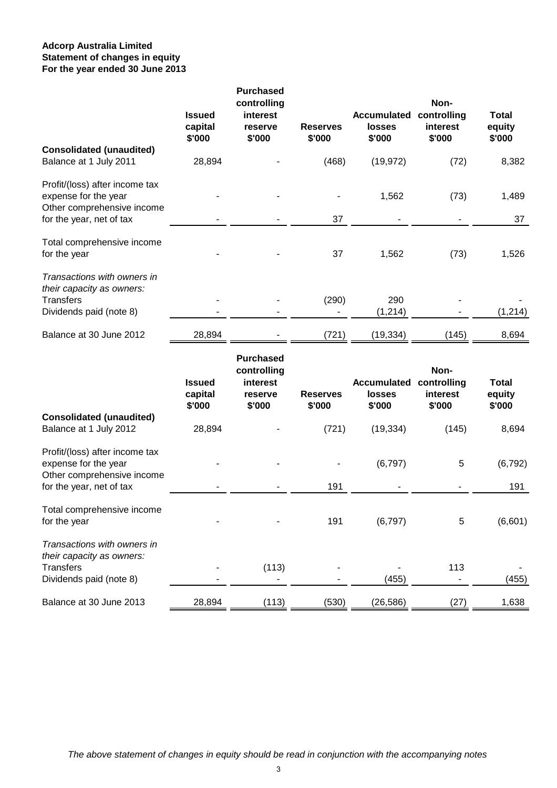## **Adcorp Australia Limited For the year ended 30 June 2013 Statement of changes in equity**

|                                                                                                                  | <b>Issued</b><br>capital<br>\$'000 | <b>Purchased</b><br>controlling<br>interest<br>reserve<br>\$'000 | <b>Reserves</b><br>\$'000 | <b>Accumulated</b><br>losses<br>\$'000 | Non-<br>controlling<br>interest<br>\$'000 | <b>Total</b><br>equity<br>\$'000 |
|------------------------------------------------------------------------------------------------------------------|------------------------------------|------------------------------------------------------------------|---------------------------|----------------------------------------|-------------------------------------------|----------------------------------|
| <b>Consolidated (unaudited)</b><br>Balance at 1 July 2011                                                        | 28,894                             |                                                                  | (468)                     | (19, 972)                              | (72)                                      | 8,382                            |
| Profit/(loss) after income tax<br>expense for the year<br>Other comprehensive income<br>for the year, net of tax |                                    |                                                                  | 37                        | 1,562                                  | (73)                                      | 1,489<br>37                      |
| Total comprehensive income<br>for the year                                                                       |                                    |                                                                  | 37                        | 1,562                                  | (73)                                      | 1,526                            |
| Transactions with owners in<br>their capacity as owners:<br><b>Transfers</b><br>Dividends paid (note 8)          |                                    |                                                                  | (290)                     | 290<br>(1, 214)                        |                                           | (1, 214)                         |
| Balance at 30 June 2012                                                                                          | 28,894                             |                                                                  | (721)                     | (19, 334)                              | (145)                                     | 8,694                            |
| <b>Consolidated (unaudited)</b>                                                                                  | <b>Issued</b><br>capital<br>\$'000 | <b>Purchased</b><br>controlling<br>interest<br>reserve<br>\$'000 | <b>Reserves</b><br>\$'000 | <b>Accumulated</b><br>losses<br>\$'000 | Non-<br>controlling<br>interest<br>\$'000 | <b>Total</b><br>equity<br>\$'000 |
| Balance at 1 July 2012                                                                                           | 28,894                             |                                                                  | (721)                     | (19, 334)                              | (145)                                     | 8,694                            |
| Profit/(loss) after income tax<br>expense for the year<br>Other comprehensive income<br>for the year, net of tax |                                    |                                                                  | 191                       | (6,797)                                | 5                                         | (6, 792)<br>191                  |
| Total comprehensive income<br>for the year                                                                       |                                    |                                                                  | 191                       | (6,797)                                | 5                                         | (6,601)                          |
| Transactions with owners in<br>their capacity as owners:<br><b>Transfers</b><br>Dividends paid (note 8)          |                                    | (113)                                                            |                           | (455)                                  | 113                                       | (455)                            |
| Balance at 30 June 2013                                                                                          | 28,894                             | (113)                                                            | (530)                     | (26, 586)                              | (27)                                      | 1,638                            |

The above statement of changes in equity should be read in conjunction with the accompanying notes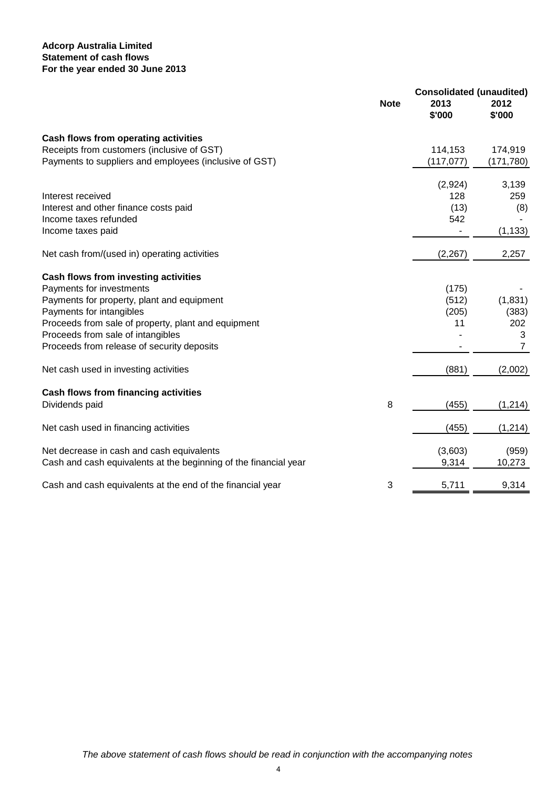## **Adcorp Australia Limited For the year ended 30 June 2013 Statement of cash flows**

|                                                                  | <b>Note</b> | <b>Consolidated (unaudited)</b><br>2013<br>\$'000 | 2012<br>\$'000 |
|------------------------------------------------------------------|-------------|---------------------------------------------------|----------------|
| Cash flows from operating activities                             |             |                                                   |                |
| Receipts from customers (inclusive of GST)                       |             | 114,153                                           | 174,919        |
| Payments to suppliers and employees (inclusive of GST)           |             | (117, 077)                                        | (171, 780)     |
|                                                                  |             | (2,924)                                           | 3,139          |
| Interest received                                                |             | 128                                               | 259            |
| Interest and other finance costs paid                            |             | (13)                                              | (8)            |
| Income taxes refunded                                            |             | 542                                               |                |
| Income taxes paid                                                |             |                                                   | (1, 133)       |
| Net cash from/(used in) operating activities                     |             | (2, 267)                                          | 2,257          |
| Cash flows from investing activities                             |             |                                                   |                |
| Payments for investments                                         |             | (175)                                             |                |
| Payments for property, plant and equipment                       |             | (512)                                             | (1, 831)       |
| Payments for intangibles                                         |             | (205)                                             | (383)          |
| Proceeds from sale of property, plant and equipment              |             | 11                                                | 202            |
| Proceeds from sale of intangibles                                |             |                                                   | 3              |
| Proceeds from release of security deposits                       |             |                                                   | 7              |
| Net cash used in investing activities                            |             | (881)                                             | (2,002)        |
| <b>Cash flows from financing activities</b>                      |             |                                                   |                |
| Dividends paid                                                   | 8           | (455)                                             | (1, 214)       |
| Net cash used in financing activities                            |             | (455)                                             | (1, 214)       |
| Net decrease in cash and cash equivalents                        |             | (3,603)                                           | (959)          |
| Cash and cash equivalents at the beginning of the financial year |             | 9,314                                             | 10,273         |
| Cash and cash equivalents at the end of the financial year       | 3           | 5,711                                             | 9,314          |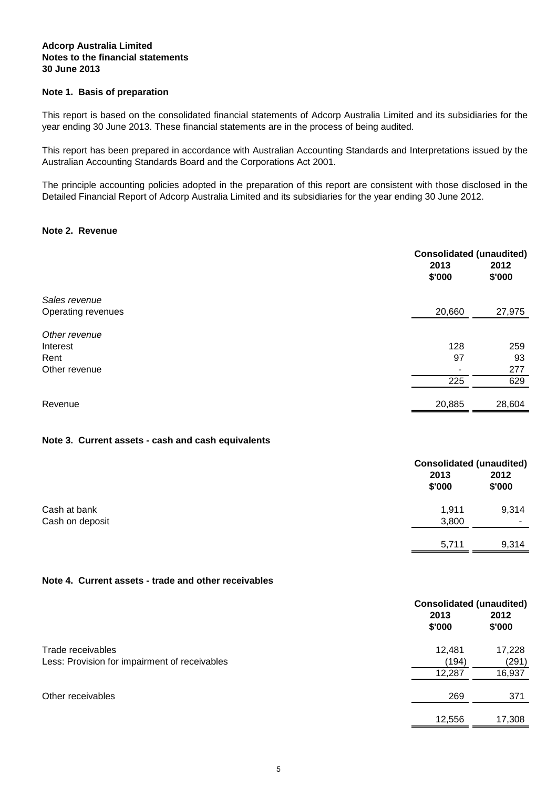### **Notes to the financial statements Adcorp Australia Limited 30 June 2013**

### **Note 1. Basis of preparation**

This report is based on the consolidated financial statements of Adcorp Australia Limited and its subsidiaries for the year ending 30 June 2013. These financial statements are in the process of being audited.

This report has been prepared in accordance with Australian Accounting Standards and Interpretations issued by the Australian Accounting Standards Board and the Corporations Act 2001.

The principle accounting policies adopted in the preparation of this report are consistent with those disclosed in the Detailed Financial Report of Adcorp Australia Limited and its subsidiaries for the year ending 30 June 2012.

### **Note 2. Revenue**

|                    | <b>Consolidated (unaudited)</b><br>2013<br>\$'000 | 2012<br>\$'000 |
|--------------------|---------------------------------------------------|----------------|
| Sales revenue      |                                                   |                |
| Operating revenues | 20,660                                            | 27,975         |
| Other revenue      |                                                   |                |
| Interest           | 128                                               | 259            |
| Rent               | 97                                                | 93             |
| Other revenue      |                                                   | 277            |
|                    | 225                                               | 629            |
| Revenue            | 20,885                                            | 28,604         |

### **Note 3. Current assets - cash and cash equivalents**

|                 | <b>Consolidated (unaudited)</b><br>2013<br>\$'000 | 2012<br>\$'000 |
|-----------------|---------------------------------------------------|----------------|
| Cash at bank    | 1,911                                             | 9,314          |
| Cash on deposit | 3,800                                             |                |
|                 | 5,711                                             | 9,314          |

### **Note 4. Current assets - trade and other receivables**

|                                               | <b>Consolidated (unaudited)</b> |                |  |
|-----------------------------------------------|---------------------------------|----------------|--|
|                                               | 2013<br>\$'000                  | 2012<br>\$'000 |  |
| Trade receivables                             | 12,481                          | 17,228         |  |
| Less: Provision for impairment of receivables | (194)                           | (291)          |  |
|                                               | 12,287                          | 16,937         |  |
| Other receivables                             | 269                             | 371            |  |
|                                               | 12,556                          | 17,308         |  |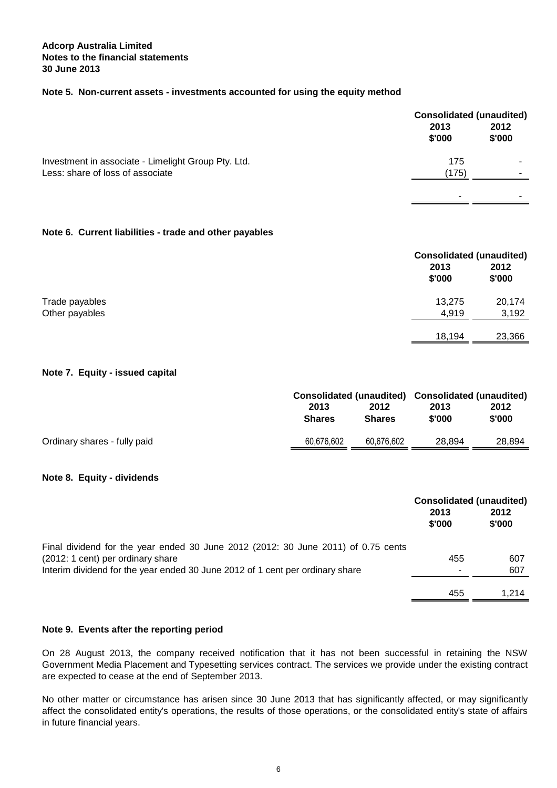### **Notes to the financial statements Adcorp Australia Limited 30 June 2013**

## **Note 5. Non-current assets - investments accounted for using the equity method**

|                                                     | <b>Consolidated (unaudited)</b><br>2013<br>\$'000 | 2012<br>\$'000 |
|-----------------------------------------------------|---------------------------------------------------|----------------|
| Investment in associate - Limelight Group Pty. Ltd. | 175                                               |                |
| Less: share of loss of associate                    | (175)                                             |                |
|                                                     |                                                   | -              |

### **Note 6. Current liabilities - trade and other payables**

|                |                | <b>Consolidated (unaudited)</b> |  |
|----------------|----------------|---------------------------------|--|
|                | 2013<br>\$'000 | 2012<br>\$'000                  |  |
| Trade payables | 13,275         | 20,174                          |  |
| Other payables | 4,919          | 3,192                           |  |
|                | 18,194         | 23,366                          |  |

### **Note 7. Equity - issued capital**

| 2013<br><b>Shares</b> | 2012<br><b>Shares</b> | 2013<br>\$'000 | 2012<br>\$'000                                    |
|-----------------------|-----------------------|----------------|---------------------------------------------------|
|                       |                       |                |                                                   |
|                       |                       |                | Consolidated (unaudited) Consolidated (unaudited) |

### **Note 8. Equity - dividends**

|                                                                                   | 2013<br>\$'000 | <b>Consolidated (unaudited)</b><br>2012<br>\$'000 |
|-----------------------------------------------------------------------------------|----------------|---------------------------------------------------|
| Final dividend for the year ended 30 June 2012 (2012: 30 June 2011) of 0.75 cents |                |                                                   |
| (2012: 1 cent) per ordinary share                                                 | 455            | 607                                               |
| Interim dividend for the year ended 30 June 2012 of 1 cent per ordinary share     | ۰              | 607                                               |
|                                                                                   |                |                                                   |
|                                                                                   | 455            | 1.214                                             |

### **Note 9. Events after the reporting period**

On 28 August 2013, the company received notification that it has not been successful in retaining the NSW Government Media Placement and Typesetting services contract. The services we provide under the existing contract are expected to cease at the end of September 2013.

No other matter or circumstance has arisen since 30 June 2013 that has significantly affected, or may significantly affect the consolidated entity's operations, the results of those operations, or the consolidated entity's state of affairs in future financial years.